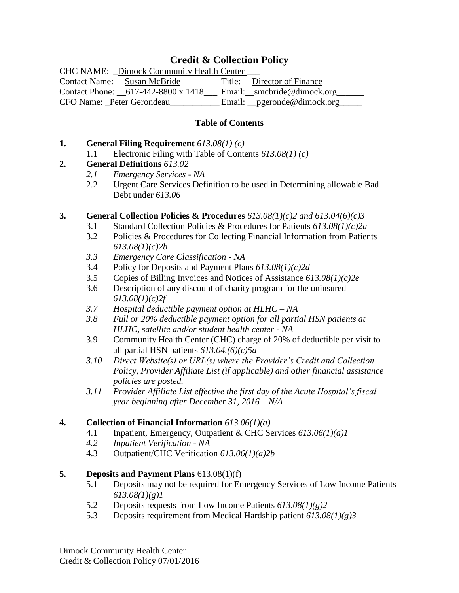## **Credit & Collection Policy**

| <b>CHC NAME:</b> Dimock Community Health Center |                              |
|-------------------------------------------------|------------------------------|
| Contact Name: Susan McBride                     | Title: Director of Finance   |
| Contact Phone: 617-442-8800 x 1418              | Email: __smcbride@dimock.org |
| CFO Name: Peter Gerondeau                       | Email: pgeronde@dimock.org   |

#### **Table of Contents**

#### **1. General Filing Requirement** *613.08(1) (c)*

1.1 Electronic Filing with Table of Contents *613.08(1) (c)*

### **2. General Definitions** *613.02*

- *2.1 Emergency Services - NA*
- 2.2 Urgent Care Services Definition to be used in Determining allowable Bad Debt under *613.06*

### **3. General Collection Policies & Procedures** *613.08(1)(c)2 and 613.04(6)(c)3*

- 3.1 Standard Collection Policies & Procedures for Patients *613.08(1)(c)2a*
- 3.2 Policies & Procedures for Collecting Financial Information from Patients *613.08(1)(c)2b*
- *3.3 Emergency Care Classification - NA*
- 3.4 Policy for Deposits and Payment Plans *613.08(1)(c)2d*
- 3.5 Copies of Billing Invoices and Notices of Assistance *613.08(1)(c)2e*
- 3.6 Description of any discount of charity program for the uninsured *613.08(1)(c)2f*
- *3.7 Hospital deductible payment option at HLHC – NA*
- *3.8 Full or 20% deductible payment option for all partial HSN patients at HLHC, satellite and/or student health center - NA*
- 3.9 Community Health Center (CHC) charge of 20% of deductible per visit to all partial HSN patients *613.04.(6)(c)5a*
- *3.10 Direct Website(s) or URL(s) where the Provider's Credit and Collection Policy, Provider Affiliate List (if applicable) and other financial assistance policies are posted.*
- *3.11 Provider Affiliate List effective the first day of the Acute Hospital's fiscal year beginning after December 31, 2016 – N/A*

### **4. Collection of Financial Information** *613.06(1)(a)*

- 4.1 Inpatient, Emergency, Outpatient & CHC Services *613.06(1)(a)1*
- *4.2 Inpatient Verification - NA*
- 4.3 Outpatient/CHC Verification *613.06(1)(a)2b*

### **5. Deposits and Payment Plans** 613.08(1)(f)

- 5.1 Deposits may not be required for Emergency Services of Low Income Patients *613.08(1)(g)1*
- 5.2 Deposits requests from Low Income Patients *613.08(1)(g)2*
- 5.3 Deposits requirement from Medical Hardship patient *613.08(1)(g)3*

Dimock Community Health Center Credit & Collection Policy 07/01/2016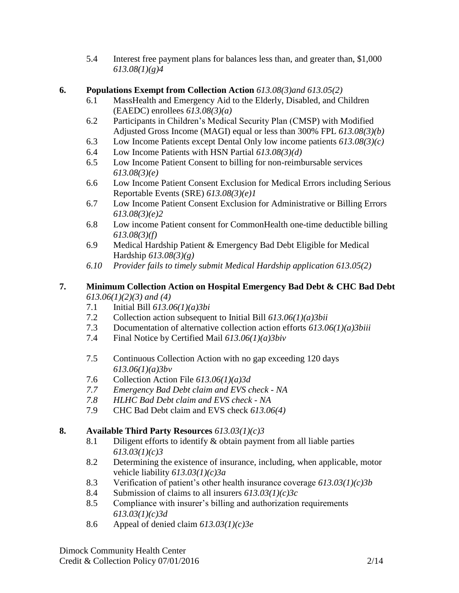5.4 Interest free payment plans for balances less than, and greater than, \$1,000 *613.08(1)(g)4*

## **6. Populations Exempt from Collection Action** *613.08(3)and 613.05(2)*

- 6.1 MassHealth and Emergency Aid to the Elderly, Disabled, and Children (EAEDC) enrollees *613.08(3)(a)*
- 6.2 Participants in Children's Medical Security Plan (CMSP) with Modified Adjusted Gross Income (MAGI) equal or less than 300% FPL *613.08(3)(b)*
- 6.3 Low Income Patients except Dental Only low income patients *613.08(3)(c)*
- 6.4 Low Income Patients with HSN Partial *613.08(3)(d)*
- 6.5 Low Income Patient Consent to billing for non-reimbursable services *613.08(3)(e)*
- 6.6 Low Income Patient Consent Exclusion for Medical Errors including Serious Reportable Events (SRE) *613.08(3)(e)1*
- 6.7 Low Income Patient Consent Exclusion for Administrative or Billing Errors *613.08(3)(e)2*
- 6.8 Low income Patient consent for CommonHealth one-time deductible billing *613.08(3)(f)*
- 6.9 Medical Hardship Patient & Emergency Bad Debt Eligible for Medical Hardship *613.08(3)(g)*
- *6.10 Provider fails to timely submit Medical Hardship application 613.05(2)*

## **7. Minimum Collection Action on Hospital Emergency Bad Debt & CHC Bad Debt** *613.06(1)(2)(3) and (4)*

- 7.1 Initial Bill *613.06(1)(a)3bi*
- 7.2 Collection action subsequent to Initial Bill *613.06(1)(a)3bii*
- 7.3 Documentation of alternative collection action efforts *613.06(1)(a)3biii*
- 7.4 Final Notice by Certified Mail *613.06(1)(a)3biv*
- 7.5 Continuous Collection Action with no gap exceeding 120 days *613.06(1)(a)3bv*
- 7.6 Collection Action File *613.06(1)(a)3d*
- *7.7 Emergency Bad Debt claim and EVS check - NA*
- *7.8 HLHC Bad Debt claim and EVS check - NA*
- 7.9 CHC Bad Debt claim and EVS check *613.06(4)*

# **8. Available Third Party Resources** *613.03(1)(c)3*

- 8.1 Diligent efforts to identify & obtain payment from all liable parties *613.03(1)(c)3*
- 8.2 Determining the existence of insurance, including, when applicable, motor vehicle liability *613.03(1)(c)3a*
- 8.3 Verification of patient's other health insurance coverage *613.03(1)(c)3b*
- 8.4 Submission of claims to all insurers *613.03(1)(c)3c*
- 8.5 Compliance with insurer's billing and authorization requirements *613.03(1)(c)3d*
- 8.6 Appeal of denied claim *613.03(1)(c)3e*

Dimock Community Health Center Credit & Collection Policy 07/01/2016 2/14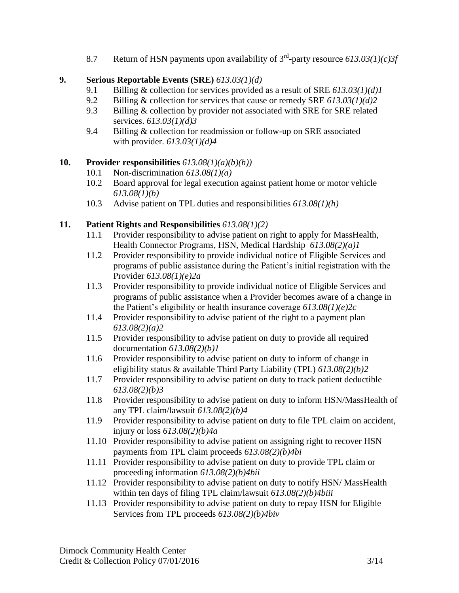8.7 Return of HSN payments upon availability of 3rd -party resource *613.03(1)(c)3f*

## **9. Serious Reportable Events (SRE)** *613.03(1)(d)*

- 9.1 Billing & collection for services provided as a result of SRE *613.03(1)(d)1*
- 9.2 Billing & collection for services that cause or remedy SRE *613.03(1)(d)2*
- 9.3 Billing & collection by provider not associated with SRE for SRE related services. *613.03(1)(d)3*
- 9.4 Billing & collection for readmission or follow-up on SRE associated with provider. *613.03(1)(d)4*

### **10. Provider responsibilities** *613.08(1)(a)(b)(h))*

- 10.1 Non-discrimination *613.08(1)(a)*
- 10.2 Board approval for legal execution against patient home or motor vehicle *613.08(1)(b)*
- 10.3 Advise patient on TPL duties and responsibilities *613.08(1)(h)*

### **11. Patient Rights and Responsibilities** *613.08(1)(2)*

- 11.1 Provider responsibility to advise patient on right to apply for MassHealth, Health Connector Programs, HSN, Medical Hardship *613.08(2)(a)1*
- 11.2 Provider responsibility to provide individual notice of Eligible Services and programs of public assistance during the Patient's initial registration with the Provider *613.08(1)(e)2a*
- 11.3 Provider responsibility to provide individual notice of Eligible Services and programs of public assistance when a Provider becomes aware of a change in the Patient's eligibility or health insurance coverage *613.08(1)(e)2c*
- 11.4 Provider responsibility to advise patient of the right to a payment plan *613.08(2)(a)2*
- 11.5 Provider responsibility to advise patient on duty to provide all required documentation *613.08(2)(b)1*
- 11.6 Provider responsibility to advise patient on duty to inform of change in eligibility status & available Third Party Liability (TPL) *613.08(2)(b)2*
- 11.7 Provider responsibility to advise patient on duty to track patient deductible *613.08(2)(b)3*
- 11.8 Provider responsibility to advise patient on duty to inform HSN/MassHealth of any TPL claim/lawsuit *613.08(2)(b)4*
- 11.9 Provider responsibility to advise patient on duty to file TPL claim on accident, injury or loss *613.08(2)(b)4a*
- 11.10 Provider responsibility to advise patient on assigning right to recover HSN payments from TPL claim proceeds *613.08(2)(b)4bi*
- 11.11 Provider responsibility to advise patient on duty to provide TPL claim or proceeding information *613.08(2)(b)4bii*
- 11.12 Provider responsibility to advise patient on duty to notify HSN/ MassHealth within ten days of filing TPL claim/lawsuit *613.08(2)(b)4biii*
- 11.13 Provider responsibility to advise patient on duty to repay HSN for Eligible Services from TPL proceeds *613.08(2)(b)4biv*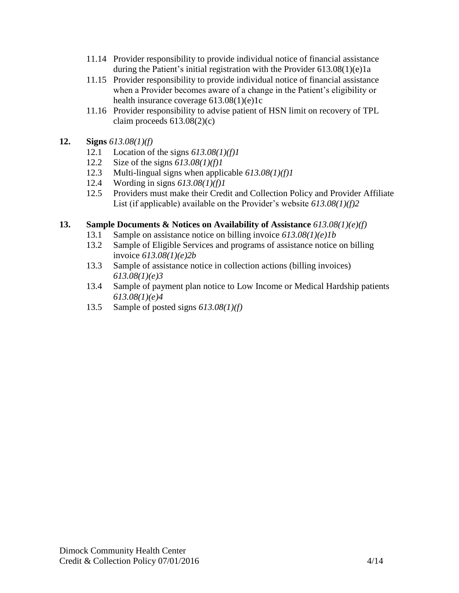- 11.14 Provider responsibility to provide individual notice of financial assistance during the Patient's initial registration with the Provider 613.08(1)(e)1a
- 11.15 Provider responsibility to provide individual notice of financial assistance when a Provider becomes aware of a change in the Patient's eligibility or health insurance coverage 613.08(1)(e)1c
- 11.16 Provider responsibility to advise patient of HSN limit on recovery of TPL claim proceeds  $613.08(2)(c)$
- **12. Signs** *613.08(1)(f)*
	- 12.1 Location of the signs *613.08(1)(f)1*
	- 12.2 Size of the signs *613.08(1)(f)1*
	- 12.3 Multi-lingual signs when applicable *613.08(1)(f)1*
	- 12.4 Wording in signs *613.08(1)(f)1*
	- 12.5 Providers must make their Credit and Collection Policy and Provider Affiliate List (if applicable) available on the Provider's website *613.08(1)(f)2*

### **13. Sample Documents & Notices on Availability of Assistance** *613.08(1)(e)(f)*

- 13.1 Sample on assistance notice on billing invoice *613.08(1)(e)1b*
- 13.2 Sample of Eligible Services and programs of assistance notice on billing invoice *613.08(1)(e)2b*
- 13.3 Sample of assistance notice in collection actions (billing invoices) *613.08(1)(e)3*
- 13.4 Sample of payment plan notice to Low Income or Medical Hardship patients *613.08(1)(e)4*
- 13.5 Sample of posted signs *613.08(1)(f)*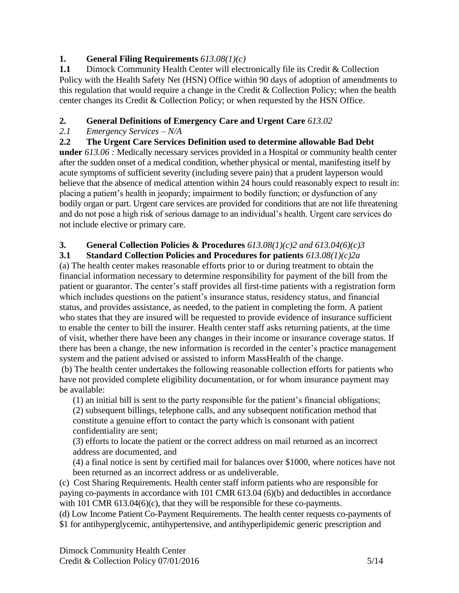## **1. General Filing Requirements** *613.08(1)(c)*

**1.1** Dimock Community Health Center will electronically file its Credit & Collection Policy with the Health Safety Net (HSN) Office within 90 days of adoption of amendments to this regulation that would require a change in the Credit  $&$  Collection Policy; when the health center changes its Credit & Collection Policy; or when requested by the HSN Office.

# **2. General Definitions of Emergency Care and Urgent Care** *613.02*

## *2.1 Emergency Services – N/A*

**2.2 The Urgent Care Services Definition used to determine allowable Bad Debt under** *613.06 :* Medically necessary services provided in a Hospital or community health center after the sudden onset of a medical condition, whether physical or mental, manifesting itself by acute symptoms of sufficient severity (including severe pain) that a prudent layperson would believe that the absence of medical attention within 24 hours could reasonably expect to result in: placing a patient's health in jeopardy; impairment to bodily function; or dysfunction of any bodily organ or part. Urgent care services are provided for conditions that are not life threatening and do not pose a high risk of serious damage to an individual's health. Urgent care services do not include elective or primary care.

# **3. General Collection Policies & Procedures** *613.08(1)(c)2 and 613.04(6)(c)3*

## **3.1 Standard Collection Policies and Procedures for patients** *613.08(1)(c)2a*

(a) The health center makes reasonable efforts prior to or during treatment to obtain the financial information necessary to determine responsibility for payment of the bill from the patient or guarantor. The center's staff provides all first-time patients with a registration form which includes questions on the patient's insurance status, residency status, and financial status, and provides assistance, as needed, to the patient in completing the form. A patient who states that they are insured will be requested to provide evidence of insurance sufficient to enable the center to bill the insurer. Health center staff asks returning patients, at the time of visit, whether there have been any changes in their income or insurance coverage status. If there has been a change, the new information is recorded in the center's practice management system and the patient advised or assisted to inform MassHealth of the change.

(b) The health center undertakes the following reasonable collection efforts for patients who have not provided complete eligibility documentation, or for whom insurance payment may be available:

(1) an initial bill is sent to the party responsible for the patient's financial obligations; (2) subsequent billings, telephone calls, and any subsequent notification method that constitute a genuine effort to contact the party which is consonant with patient confidentiality are sent;

(3) efforts to locate the patient or the correct address on mail returned as an incorrect address are documented, and

(4) a final notice is sent by certified mail for balances over \$1000, where notices have not been returned as an incorrect address or as undeliverable.

(c) Cost Sharing Requirements. Health center staff inform patients who are responsible for paying co-payments in accordance with 101 CMR 613.04 (6)(b) and deductibles in accordance with 101 CMR 613.04(6)(c), that they will be responsible for these co-payments.

(d) Low Income Patient Co-Payment Requirements. The health center requests co-payments of \$1 for antihyperglycemic, antihypertensive, and antihyperlipidemic generic prescription and

Dimock Community Health Center Credit & Collection Policy  $07/01/2016$  5/14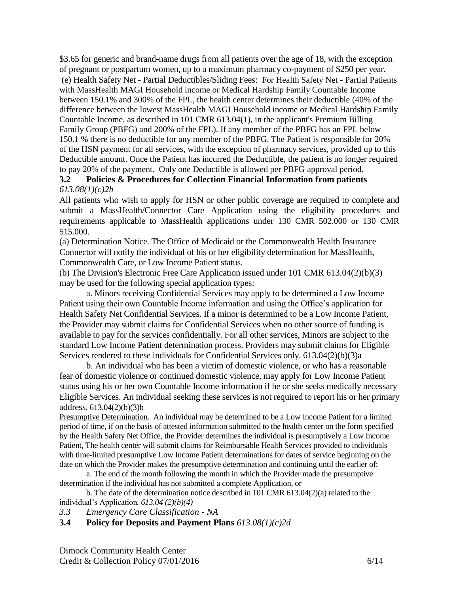\$3.65 for generic and brand-name drugs from all patients over the age of 18, with the exception of pregnant or postpartum women, up to a maximum pharmacy co-payment of \$250 per year. (e) Health Safety Net - Partial Deductibles/Sliding Fees: For Health Safety Net - Partial Patients with MassHealth MAGI Household income or Medical Hardship Family Countable Income between 150.1% and 300% of the FPL, the health center determines their deductible (40% of the difference between the lowest MassHealth MAGI Household income or Medical Hardship Family Countable Income, as described in 101 CMR 613.04(1), in the applicant's Premium Billing Family Group (PBFG) and 200% of the FPL). If any member of the PBFG has an FPL below 150.1 % there is no deductible for any member of the PBFG. The Patient is responsible for 20% of the HSN payment for all services, with the exception of pharmacy services, provided up to this Deductible amount. Once the Patient has incurred the Deductible, the patient is no longer required to pay 20% of the payment. Only one Deductible is allowed per PBFG approval period.

#### **3.2 Policies & Procedures for Collection Financial Information from patients** *613.08(1)(c)2b*

All patients who wish to apply for HSN or other public coverage are required to complete and submit a MassHealth/Connector Care Application using the eligibility procedures and requirements applicable to MassHealth applications under 130 CMR 502.000 or 130 CMR 515.000.

(a) Determination Notice. The Office of Medicaid or the Commonwealth Health Insurance Connector will notify the individual of his or her eligibility determination for MassHealth, Commonwealth Care, or Low Income Patient status.

(b) The Division's Electronic Free Care Application issued under 101 CMR 613.04(2)(b)(3) may be used for the following special application types:

a. Minors receiving Confidential Services may apply to be determined a Low Income Patient using their own Countable Income information and using the Office's application for Health Safety Net Confidential Services. If a minor is determined to be a Low Income Patient, the Provider may submit claims for Confidential Services when no other source of funding is available to pay for the services confidentially. For all other services, Minors are subject to the standard Low Income Patient determination process. Providers may submit claims for Eligible Services rendered to these individuals for Confidential Services only. 613.04(2)(b)(3)a

b. An individual who has been a victim of domestic violence, or who has a reasonable fear of domestic violence or continued domestic violence, may apply for Low Income Patient status using his or her own Countable Income information if he or she seeks medically necessary Eligible Services. An individual seeking these services is not required to report his or her primary address. 613.04(2)(b)(3)b

Presumptive Determination. An individual may be determined to be a Low Income Patient for a limited period of time, if on the basis of attested information submitted to the health center on the form specified by the Health Safety Net Office, the Provider determines the individual is presumptively a Low Income Patient, The health center will submit claims for Reimbursable Health Services provided to individuals with time-limited presumptive Low Income Patient determinations for dates of service beginning on the date on which the Provider makes the presumptive determination and continuing until the earlier of:

a. The end of the month following the month in which the Provider made the presumptive determination if the individual has not submitted a complete Application, or

b. The date of the determination notice described in 101 CMR 613.04(2)(a) related to the individual's Application*. 613.04 (2)(b)(4)*

*3.3 Emergency Care Classification - NA*

#### **3.4 Policy for Deposits and Payment Plans** *613.08(1)(c)2d*

Dimock Community Health Center Credit & Collection Policy  $07/01/2016$  6/14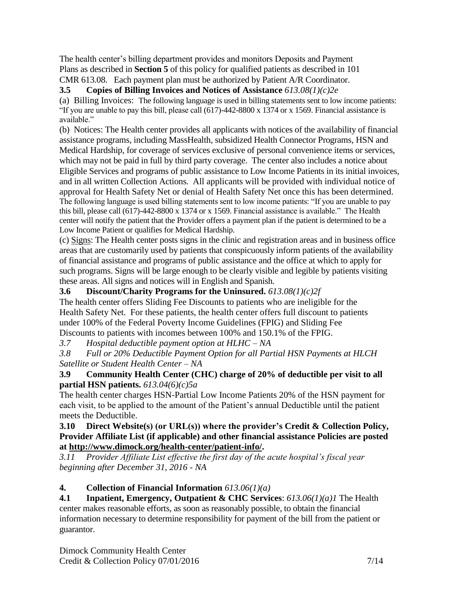The health center's billing department provides and monitors Deposits and Payment Plans as described in **Section 5** of this policy for qualified patients as described in 101 CMR 613.08. Each payment plan must be authorized by Patient A/R Coordinator.

**3.5 Copies of Billing Invoices and Notices of Assistance** *613.08(1)(c)2e*

(a) Billing Invoices: The following language is used in billing statements sent to low income patients: "If you are unable to pay this bill, please call (617)-442-8800 x 1374 or x 1569. Financial assistance is available."

(b) Notices: The Health center provides all applicants with notices of the availability of financial assistance programs, including MassHealth, subsidized Health Connector Programs, HSN and Medical Hardship, for coverage of services exclusive of personal convenience items or services, which may not be paid in full by third party coverage. The center also includes a notice about Eligible Services and programs of public assistance to Low Income Patients in its initial invoices, and in all written Collection Actions. All applicants will be provided with individual notice of approval for Health Safety Net or denial of Health Safety Net once this has been determined. The following language is used billing statements sent to low income patients: "If you are unable to pay this bill, please call (617)-442-8800 x 1374 or x 1569. Financial assistance is available." The Health center will notify the patient that the Provider offers a payment plan if the patient is determined to be a Low Income Patient or qualifies for Medical Hardship.

(c) Signs: The Health center posts signs in the clinic and registration areas and in business office areas that are customarily used by patients that conspicuously inform patients of the availability of financial assistance and programs of public assistance and the office at which to apply for such programs. Signs will be large enough to be clearly visible and legible by patients visiting these areas. All signs and notices will in English and Spanish.

# **3.6 Discount/Charity Programs for the Uninsured.** *613.08(1)(c)2f*

The health center offers Sliding Fee Discounts to patients who are ineligible for the Health Safety Net. For these patients, the health center offers full discount to patients under 100% of the Federal Poverty Income Guidelines (FPIG) and Sliding Fee Discounts to patients with incomes between 100% and 150.1% of the FPIG.

*3.7 Hospital deductible payment option at HLHC – NA*

*3.8 Full or 20% Deductible Payment Option for all Partial HSN Payments at HLCH Satellite or Student Health Center – NA*

### **3.9 Community Health Center (CHC) charge of 20% of deductible per visit to all partial HSN patients.** *613.04(6)(c)5a*

The health center charges HSN-Partial Low Income Patients 20% of the HSN payment for each visit, to be applied to the amount of the Patient's annual Deductible until the patient meets the Deductible.

#### **3.10 Direct Website(s) (or URL(s)) where the provider's Credit & Collection Policy, Provider Affiliate List (if applicable) and other financial assistance Policies are posted at [http://www.dimock.org/health-center/patient-info/.](http://www.dimock.org/health-center/patient-info/)**

*3.11 Provider Affiliate List effective the first day of the acute hospital's fiscal year beginning after December 31, 2016 - NA*

# **4. Collection of Financial Information** *613.06(1)(a)*

**4.1 Inpatient, Emergency, Outpatient & CHC Services**: *613.06(1)(a)1* The Health center makes reasonable efforts, as soon as reasonably possible, to obtain the financial information necessary to determine responsibility for payment of the bill from the patient or guarantor.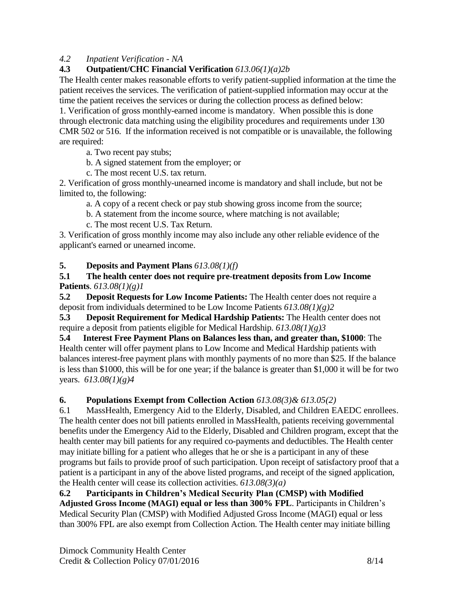## *4.2 Inpatient Verification - NA*

## **4.3 Outpatient/CHC Financial Verification** *613.06(1)(a)2b*

The Health center makes reasonable efforts to verify patient-supplied information at the time the patient receives the services. The verification of patient-supplied information may occur at the time the patient receives the services or during the collection process as defined below:

1. Verification of gross monthly-earned income is mandatory. When possible this is done through electronic data matching using the eligibility procedures and requirements under 130 CMR 502 or 516. If the information received is not compatible or is unavailable, the following are required:

a. Two recent pay stubs;

b. A signed statement from the employer; or

c. The most recent U.S. tax return.

2. Verification of gross monthly-unearned income is mandatory and shall include, but not be limited to, the following:

a. A copy of a recent check or pay stub showing gross income from the source;

b. A statement from the income source, where matching is not available;

c. The most recent U.S. Tax Return.

3. Verification of gross monthly income may also include any other reliable evidence of the applicant's earned or unearned income.

**5. Deposits and Payment Plans** *613.08(1)(f)*

### **5.1 The health center does not require pre-treatment deposits from Low Income Patients**. *613.08(1)(g)1*

**5.2 Deposit Requests for Low Income Patients:** The Health center does not require a deposit from individuals determined to be Low Income Patients *613.08(1)(g)2*

**5.3 Deposit Requirement for Medical Hardship Patients:** The Health center does not require a deposit from patients eligible for Medical Hardship. *613.08(1)(g)3*

**5.4 Interest Free Payment Plans on Balances less than, and greater than, \$1000**: The Health center will offer payment plans to Low Income and Medical Hardship patients with balances interest-free payment plans with monthly payments of no more than \$25. If the balance is less than \$1000, this will be for one year; if the balance is greater than \$1,000 it will be for two years. *613.08(1)(g)4*

## **6. Populations Exempt from Collection Action** *613.08(3)& 613.05(2)*

6.1 MassHealth, Emergency Aid to the Elderly, Disabled, and Children EAEDC enrollees. The health center does not bill patients enrolled in MassHealth, patients receiving governmental benefits under the Emergency Aid to the Elderly, Disabled and Children program, except that the health center may bill patients for any required co-payments and deductibles. The Health center may initiate billing for a patient who alleges that he or she is a participant in any of these programs but fails to provide proof of such participation. Upon receipt of satisfactory proof that a patient is a participant in any of the above listed programs, and receipt of the signed application, the Health center will cease its collection activities. *613.08(3)(a)*

**6.2 Participants in Children's Medical Security Plan (CMSP) with Modified Adjusted Gross Income (MAGI) equal or less than 300% FPL**. Participants in Children's Medical Security Plan (CMSP) with Modified Adjusted Gross Income (MAGI) equal or less than 300% FPL are also exempt from Collection Action. The Health center may initiate billing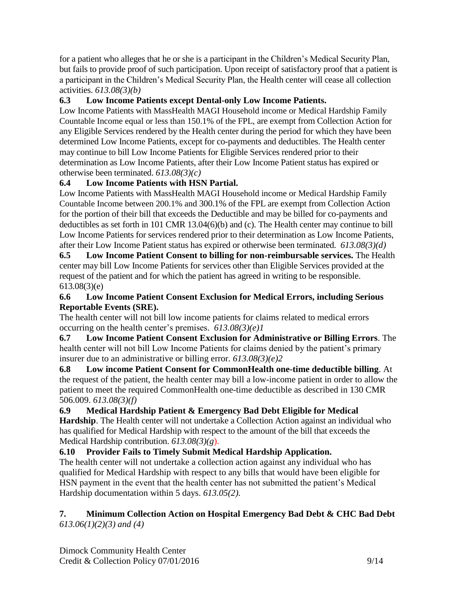for a patient who alleges that he or she is a participant in the Children's Medical Security Plan, but fails to provide proof of such participation. Upon receipt of satisfactory proof that a patient is a participant in the Children's Medical Security Plan, the Health center will cease all collection activities. *613.08(3)(b)*

## **6.3 Low Income Patients except Dental-only Low Income Patients.**

Low Income Patients with MassHealth MAGI Household income or Medical Hardship Family Countable Income equal or less than 150.1% of the FPL, are exempt from Collection Action for any Eligible Services rendered by the Health center during the period for which they have been determined Low Income Patients, except for co-payments and deductibles. The Health center may continue to bill Low Income Patients for Eligible Services rendered prior to their determination as Low Income Patients, after their Low Income Patient status has expired or otherwise been terminated. *613.08(3)(c)*

## **6.4 Low Income Patients with HSN Partial.**

Low Income Patients with MassHealth MAGI Household income or Medical Hardship Family Countable Income between 200.1% and 300.1% of the FPL are exempt from Collection Action for the portion of their bill that exceeds the Deductible and may be billed for co-payments and deductibles as set forth in 101 CMR 13.04(6)(b) and (c). The Health center may continue to bill Low Income Patients for services rendered prior to their determination as Low Income Patients, after their Low Income Patient status has expired or otherwise been terminated. *613.08(3)(d)*

**6.5 Low Income Patient Consent to billing for non-reimbursable services.** The Health center may bill Low Income Patients for services other than Eligible Services provided at the request of the patient and for which the patient has agreed in writing to be responsible. 613.08(3)(e)

### **6.6 Low Income Patient Consent Exclusion for Medical Errors, including Serious Reportable Events (SRE).**

The health center will not bill low income patients for claims related to medical errors occurring on the health center's premises. *613.08(3)(e)1*

**6.7 Low Income Patient Consent Exclusion for Administrative or Billing Errors**. The health center will not bill Low Income Patients for claims denied by the patient's primary insurer due to an administrative or billing error. *613.08(3)(e)2*

**6.8 Low income Patient Consent for CommonHealth one-time deductible billing**. At the request of the patient, the health center may bill a low-income patient in order to allow the patient to meet the required CommonHealth one-time deductible as described in 130 CMR 506.009. *613.08(3)(f)*

**6.9 Medical Hardship Patient & Emergency Bad Debt Eligible for Medical Hardship**. The Health center will not undertake a Collection Action against an individual who has qualified for Medical Hardship with respect to the amount of the bill that exceeds the Medical Hardship contribution. *613.08(3)(g*).

## **6.10 Provider Fails to Timely Submit Medical Hardship Application.**

The health center will not undertake a collection action against any individual who has qualified for Medical Hardship with respect to any bills that would have been eligible for HSN payment in the event that the health center has not submitted the patient's Medical Hardship documentation within 5 days. *613.05(2).*

### **7. Minimum Collection Action on Hospital Emergency Bad Debt & CHC Bad Debt** *613.06(1)(2)(3) and (4)*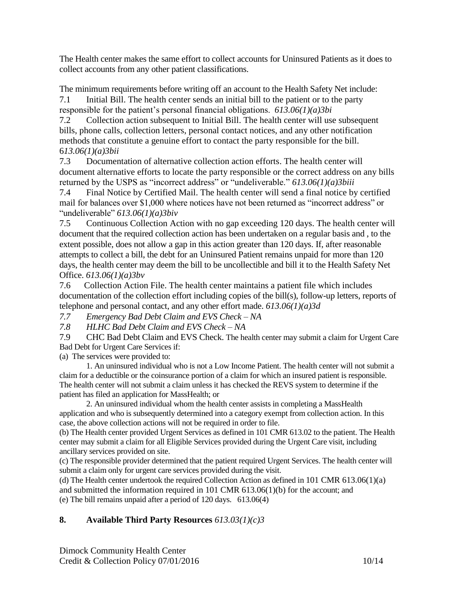The Health center makes the same effort to collect accounts for Uninsured Patients as it does to collect accounts from any other patient classifications.

The minimum requirements before writing off an account to the Health Safety Net include: 7.1 Initial Bill. The health center sends an initial bill to the patient or to the party responsible for the patient's personal financial obligations. *613.06(1)(a)3bi*

7.2 Collection action subsequent to Initial Bill. The health center will use subsequent bills, phone calls, collection letters, personal contact notices, and any other notification methods that constitute a genuine effort to contact the party responsible for the bill. 6*13.06(1)(a)3bii*

7.3 Documentation of alternative collection action efforts. The health center will document alternative efforts to locate the party responsible or the correct address on any bills returned by the USPS as "incorrect address" or "undeliverable." *613.06(1)(a)3biii*

7.4 Final Notice by Certified Mail. The health center will send a final notice by certified mail for balances over \$1,000 where notices have not been returned as "incorrect address" or "undeliverable" *613.06(1)(a)3biv*

7.5 Continuous Collection Action with no gap exceeding 120 days. The health center will document that the required collection action has been undertaken on a regular basis and , to the extent possible, does not allow a gap in this action greater than 120 days. If, after reasonable attempts to collect a bill, the debt for an Uninsured Patient remains unpaid for more than 120 days, the health center may deem the bill to be uncollectible and bill it to the Health Safety Net Office. *613.06(1)(a)3bv*

7.6 Collection Action File. The health center maintains a patient file which includes documentation of the collection effort including copies of the bill(s), follow-up letters, reports of telephone and personal contact, and any other effort made. *613.06(1)(a)3d*

*7.7 Emergency Bad Debt Claim and EVS Check – NA* 

*7.8 HLHC Bad Debt Claim and EVS Check – NA*

7.9 CHC Bad Debt Claim and EVS Check. The health center may submit a claim for Urgent Care Bad Debt for Urgent Care Services if:

(a) The services were provided to:

1. An uninsured individual who is not a Low Income Patient. The health center will not submit a claim for a deductible or the coinsurance portion of a claim for which an insured patient is responsible. The health center will not submit a claim unless it has checked the REVS system to determine if the patient has filed an application for MassHealth; or

2. An uninsured individual whom the health center assists in completing a MassHealth application and who is subsequently determined into a category exempt from collection action. In this case, the above collection actions will not be required in order to file.

(b) The Health center provided Urgent Services as defined in 101 CMR 613.02 to the patient. The Health center may submit a claim for all Eligible Services provided during the Urgent Care visit, including ancillary services provided on site.

(c) The responsible provider determined that the patient required Urgent Services. The health center will submit a claim only for urgent care services provided during the visit.

(d) The Health center undertook the required Collection Action as defined in 101 CMR 613.06(1)(a) and submitted the information required in 101 CMR 613.06(1)(b) for the account; and (e) The bill remains unpaid after a period of 120 days. 613.06(4)

# **8. Available Third Party Resources** *613.03(1)(c)3*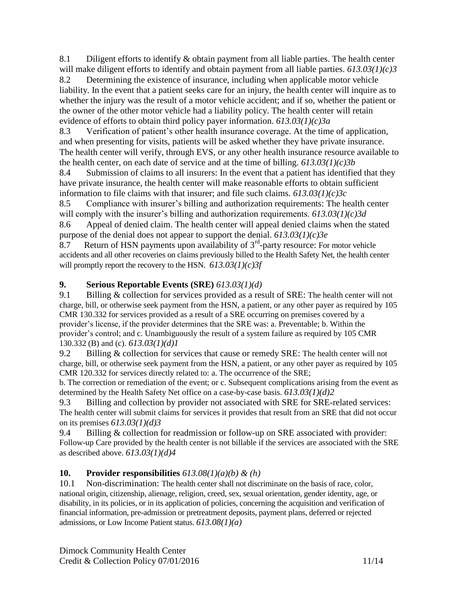8.1 Diligent efforts to identify  $\&$  obtain payment from all liable parties. The health center will make diligent efforts to identify and obtain payment from all liable parties. *613.03(1)(c)3* 8.2 Determining the existence of insurance, including when applicable motor vehicle liability. In the event that a patient seeks care for an injury, the health center will inquire as to whether the injury was the result of a motor vehicle accident; and if so, whether the patient or the owner of the other motor vehicle had a liability policy. The health center will retain evidence of efforts to obtain third policy payer information. *613.03(1)(c)3a*

8.3 Verification of patient's other health insurance coverage. At the time of application, and when presenting for visits, patients will be asked whether they have private insurance. The health center will verify, through EVS, or any other health insurance resource available to the health center, on each date of service and at the time of billing. *613.03(1)(c)3b*

8.4 Submission of claims to all insurers: In the event that a patient has identified that they have private insurance, the health center will make reasonable efforts to obtain sufficient information to file claims with that insurer; and file such claims. *613.03(1)(c)3c*

8.5 Compliance with insurer's billing and authorization requirements: The health center will comply with the insurer's billing and authorization requirements. *613.03(1)(c)3d* 8.6 Appeal of denied claim. The health center will appeal denied claims when the stated

purpose of the denial does not appear to support the denial. *613.03(1)(c)3e*

 $8.7$  Return of HSN payments upon availability of  $3<sup>rd</sup>$ -party resource: For motor vehicle accidents and all other recoveries on claims previously billed to the Health Safety Net, the health center will promptly report the recovery to the HSN. *613.03(1)(c)3f*

## **9. Serious Reportable Events (SRE)** *613.03(1)(d)*

9.1 Billing & collection for services provided as a result of SRE: The health center will not charge, bill, or otherwise seek payment from the HSN, a patient, or any other payer as required by 105 CMR 130.332 for services provided as a result of a SRE occurring on premises covered by a provider's license, if the provider determines that the SRE was: a. Preventable; b. Within the provider's control; and c. Unambiguously the result of a system failure as required by 105 CMR 130.332 (B) and (c). *613.03(1)(d)1*

9.2 Billing & collection for services that cause or remedy SRE: The health center will not charge, bill, or otherwise seek payment from the HSN, a patient, or any other payer as required by 105 CMR 120.332 for services directly related to: a. The occurrence of the SRE;

b. The correction or remediation of the event; or c. Subsequent complications arising from the event as determined by the Health Safety Net office on a case-by-case basis. *613.03(1)(d)2*

9.3 Billing and collection by provider not associated with SRE for SRE-related services: The health center will submit claims for services it provides that result from an SRE that did not occur on its premises *613.03(1)(d)3*

9.4 Billing & collection for readmission or follow-up on SRE associated with provider: Follow-up Care provided by the health center is not billable if the services are associated with the SRE as described above. *613.03(1)(d)4*

## **10. Provider responsibilities**  $613.08(1)(a)(b) \& (h)$

10.1 Non-discrimination: The health center shall not discriminate on the basis of race, color, national origin, citizenship, alienage, religion, creed, sex, sexual orientation, gender identity, age, or disability, in its policies, or in its application of policies, concerning the acquisition and verification of financial information, pre-admission or pretreatment deposits, payment plans, deferred or rejected admissions, or Low Income Patient status. *613.08(1)(a)*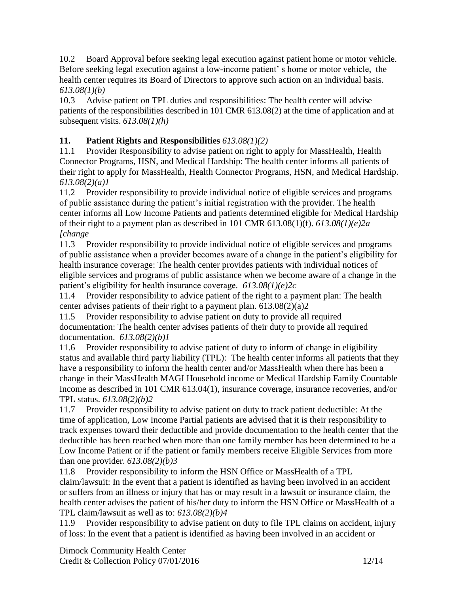10.2 Board Approval before seeking legal execution against patient home or motor vehicle. Before seeking legal execution against a low-income patient' s home or motor vehicle, the health center requires its Board of Directors to approve such action on an individual basis. *613.08(1)(b)*

10.3 Advise patient on TPL duties and responsibilities: The health center will advise patients of the responsibilities described in 101 CMR 613.08(2) at the time of application and at subsequent visits. *613.08(1)(h)*

# **11. Patient Rights and Responsibilities** *613.08(1)(2)*

11.1 Provider Responsibility to advise patient on right to apply for MassHealth, Health Connector Programs, HSN, and Medical Hardship: The health center informs all patients of their right to apply for MassHealth, Health Connector Programs, HSN, and Medical Hardship. *613.08(2)(a)1*

11.2 Provider responsibility to provide individual notice of eligible services and programs of public assistance during the patient's initial registration with the provider. The health center informs all Low Income Patients and patients determined eligible for Medical Hardship of their right to a payment plan as described in 101 CMR 613.08(1)(f). *613.08(1)(e)2a [change*

11.3 Provider responsibility to provide individual notice of eligible services and programs of public assistance when a provider becomes aware of a change in the patient's eligibility for health insurance coverage: The health center provides patients with individual notices of eligible services and programs of public assistance when we become aware of a change in the patient's eligibility for health insurance coverage*. 613.08(1)(e)2c*

11.4 Provider responsibility to advice patient of the right to a payment plan: The health center advises patients of their right to a payment plan. 613.08(2)(a)2

11.5 Provider responsibility to advise patient on duty to provide all required documentation: The health center advises patients of their duty to provide all required documentation. *613.08(2)(b)1*

11.6 Provider responsibility to advise patient of duty to inform of change in eligibility status and available third party liability (TPL): The health center informs all patients that they have a responsibility to inform the health center and/or MassHealth when there has been a change in their MassHealth MAGI Household income or Medical Hardship Family Countable Income as described in 101 CMR 613.04(1), insurance coverage, insurance recoveries, and/or TPL status. *613.08(2)(b)2*

11.7 Provider responsibility to advise patient on duty to track patient deductible: At the time of application, Low Income Partial patients are advised that it is their responsibility to track expenses toward their deductible and provide documentation to the health center that the deductible has been reached when more than one family member has been determined to be a Low Income Patient or if the patient or family members receive Eligible Services from more than one provider. *613.08(2)(b)3*

11.8 Provider responsibility to inform the HSN Office or MassHealth of a TPL claim/lawsuit: In the event that a patient is identified as having been involved in an accident or suffers from an illness or injury that has or may result in a lawsuit or insurance claim, the health center advises the patient of his/her duty to inform the HSN Office or MassHealth of a TPL claim/lawsuit as well as to: *613.08(2)(b)4*

11.9 Provider responsibility to advise patient on duty to file TPL claims on accident, injury of loss: In the event that a patient is identified as having been involved in an accident or

Dimock Community Health Center Credit & Collection Policy 07/01/2016 12/14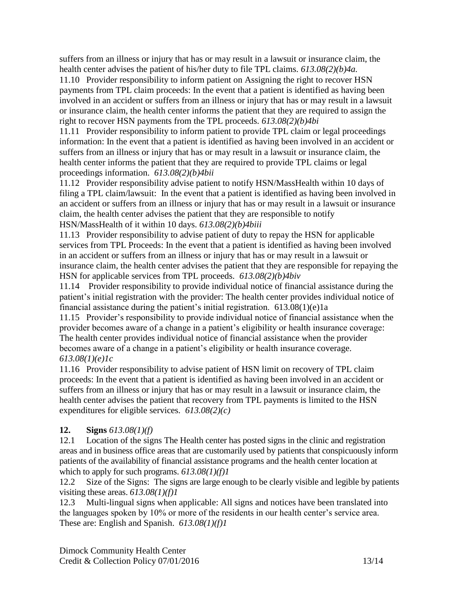suffers from an illness or injury that has or may result in a lawsuit or insurance claim, the health center advises the patient of his/her duty to file TPL claims. *613.08(2)(b)4a.*

11.10 Provider responsibility to inform patient on Assigning the right to recover HSN payments from TPL claim proceeds: In the event that a patient is identified as having been involved in an accident or suffers from an illness or injury that has or may result in a lawsuit or insurance claim, the health center informs the patient that they are required to assign the right to recover HSN payments from the TPL proceeds. *613.08(2)(b)4bi*

11.11 Provider responsibility to inform patient to provide TPL claim or legal proceedings information: In the event that a patient is identified as having been involved in an accident or suffers from an illness or injury that has or may result in a lawsuit or insurance claim, the health center informs the patient that they are required to provide TPL claims or legal proceedings information. *613.08(2)(b)4bii*

11.12 Provider responsibility advise patient to notify HSN/MassHealth within 10 days of filing a TPL claim/lawsuit: In the event that a patient is identified as having been involved in an accident or suffers from an illness or injury that has or may result in a lawsuit or insurance claim, the health center advises the patient that they are responsible to notify HSN/MassHealth of it within 10 days. *613.08(2)(b)4biii*

11.13 Provider responsibility to advise patient of duty to repay the HSN for applicable services from TPL Proceeds: In the event that a patient is identified as having been involved in an accident or suffers from an illness or injury that has or may result in a lawsuit or insurance claim, the health center advises the patient that they are responsible for repaying the HSN for applicable services from TPL proceeds. *613.08(2)(b)4biv*

11.14 Provider responsibility to provide individual notice of financial assistance during the patient's initial registration with the provider: The health center provides individual notice of financial assistance during the patient's initial registration.  $613.08(1)(e)1a$ 

11.15 Provider's responsibility to provide individual notice of financial assistance when the provider becomes aware of a change in a patient's eligibility or health insurance coverage: The health center provides individual notice of financial assistance when the provider becomes aware of a change in a patient's eligibility or health insurance coverage. *613.08(1)(e)1c*

11.16 Provider responsibility to advise patient of HSN limit on recovery of TPL claim proceeds: In the event that a patient is identified as having been involved in an accident or suffers from an illness or injury that has or may result in a lawsuit or insurance claim, the health center advises the patient that recovery from TPL payments is limited to the HSN expenditures for eligible services*. 613.08(2)(c)*

# **12. Signs** *613.08(1)(f)*

12.1 Location of the signs The Health center has posted signs in the clinic and registration areas and in business office areas that are customarily used by patients that conspicuously inform patients of the availability of financial assistance programs and the health center location at which to apply for such programs. *613.08(1)(f)1*

12.2 Size of the Signs: The signs are large enough to be clearly visible and legible by patients visiting these areas. *613.08(1)(f)1*

12.3 Multi-lingual signs when applicable: All signs and notices have been translated into the languages spoken by 10% or more of the residents in our health center's service area. These are: English and Spanish. *613.08(1)(f)1*